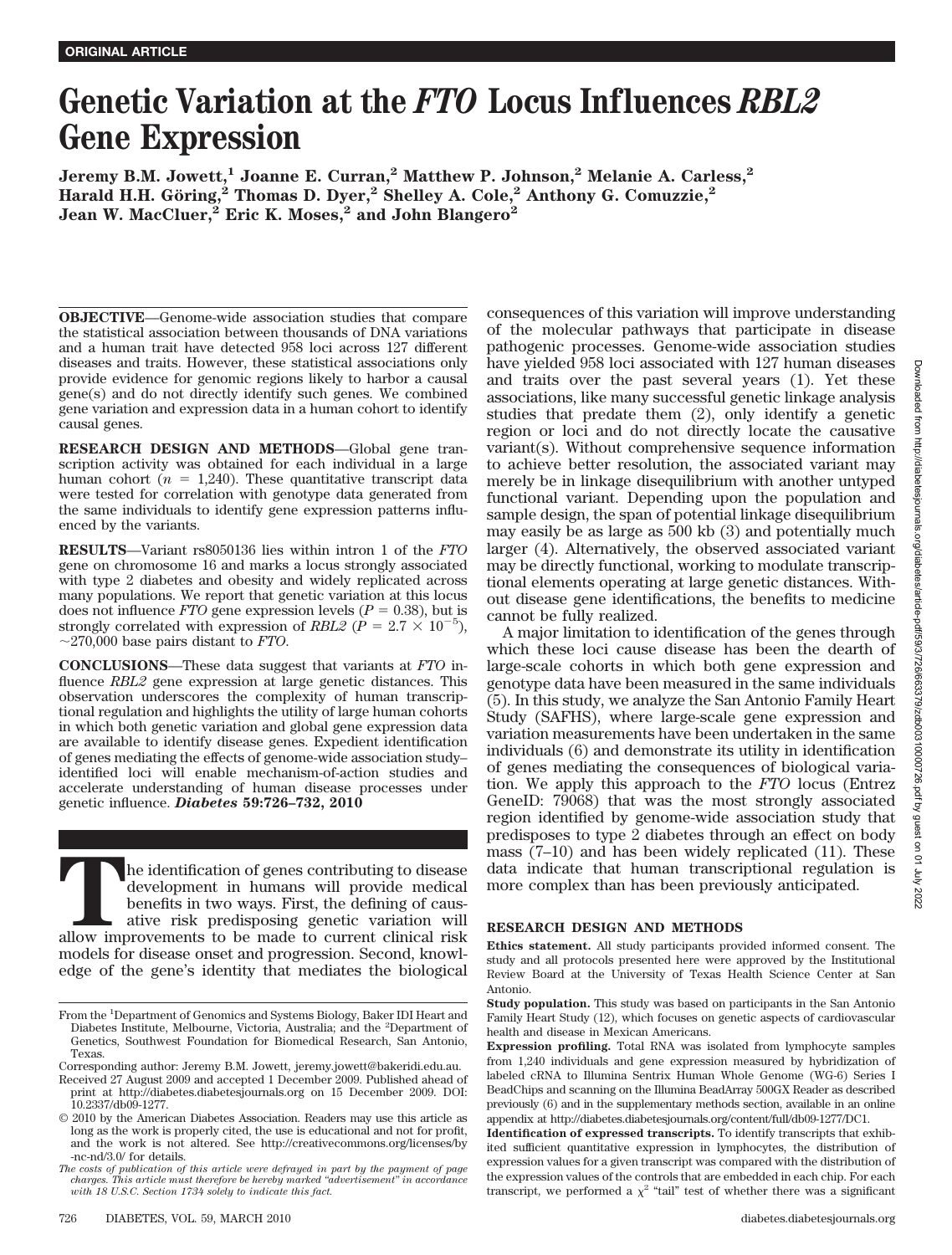# **Genetic Variation at the** *FTO* **Locus Influences** *RBL2* **Gene Expression**

 $\rm{Jeremy~B.M.~Jowett,^{1}~Joanne~E.~Curran,^{2}~Matthew~P.~Johnson,^{2}~Melanie~A.~Carless,^{2}}$ **Harald H.H. Go¨ring,2 Thomas D. Dyer,2 Shelley A. Cole,2 Anthony G. Comuzzie,2 Jean W. MacCluer,2 Eric K. Moses,2 and John Blangero2**

**OBJECTIVE**—Genome-wide association studies that compare the statistical association between thousands of DNA variations and a human trait have detected 958 loci across 127 different diseases and traits. However, these statistical associations only provide evidence for genomic regions likely to harbor a causal gene(s) and do not directly identify such genes. We combined gene variation and expression data in a human cohort to identify causal genes.

**RESEARCH DESIGN AND METHODS**—Global gene transcription activity was obtained for each individual in a large human cohort  $(n = 1,240)$ . These quantitative transcript data were tested for correlation with genotype data generated from the same individuals to identify gene expression patterns influenced by the variants.

**RESULTS**—Variant rs8050136 lies within intron 1 of the *FTO* gene on chromosome 16 and marks a locus strongly associated with type 2 diabetes and obesity and widely replicated across many populations. We report that genetic variation at this locus does not influence *FTO* gene expression levels ( $P = 0.38$ ), but is strongly correlated with expression of *RBL2* ( $\dot{P} = 2.7 \times 10^{-5}$ ), 270,000 base pairs distant to *FTO*.

**CONCLUSIONS**—These data suggest that variants at *FTO* influence *RBL2* gene expression at large genetic distances. This observation underscores the complexity of human transcriptional regulation and highlights the utility of large human cohorts in which both genetic variation and global gene expression data are available to identify disease genes. Expedient identification of genes mediating the effects of genome-wide association study– identified loci will enable mechanism-of-action studies and accelerate understanding of human disease processes under genetic influence. *Diabetes* **59:726–732, 2010**

The identification of genes contributing to disease development in humans will provide medical benefits in two ways. First, the defining of causative risk predisposing genetic variation will allow improvements to be made t development in humans will provide medical benefits in two ways. First, the defining of causative risk predisposing genetic variation will allow improvements to be made to current clinical risk models for disease onset and progression. Second, knowledge of the gene's identity that mediates the biological consequences of this variation will improve understanding of the molecular pathways that participate in disease pathogenic processes. Genome-wide association studies have yielded 958 loci associated with 127 human diseases and traits over the past several years (1). Yet these associations, like many successful genetic linkage analysis studies that predate them (2), only identify a genetic region or loci and do not directly locate the causative variant(s). Without comprehensive sequence information to achieve better resolution, the associated variant may merely be in linkage disequilibrium with another untyped functional variant. Depending upon the population and sample design, the span of potential linkage disequilibrium may easily be as large as 500 kb (3) and potentially much larger (4). Alternatively, the observed associated variant may be directly functional, working to modulate transcriptional elements operating at large genetic distances. Without disease gene identifications, the benefits to medicine cannot be fully realized.

A major limitation to identification of the genes through which these loci cause disease has been the dearth of large-scale cohorts in which both gene expression and genotype data have been measured in the same individuals (5). In this study, we analyze the San Antonio Family Heart Study (SAFHS), where large-scale gene expression and variation measurements have been undertaken in the same individuals (6) and demonstrate its utility in identification of genes mediating the consequences of biological variation. We apply this approach to the *FTO* locus (Entrez GeneID: 79068) that was the most strongly associated region identified by genome-wide association study that predisposes to type 2 diabetes through an effect on body mass (7–10) and has been widely replicated (11). These data indicate that human transcriptional regulation is more complex than has been previously anticipated.

# **RESEARCH DESIGN AND METHODS**

**Ethics statement.** All study participants provided informed consent. The study and all protocols presented here were approved by the Institutional Review Board at the University of Texas Health Science Center at San Antonio.

From the <sup>1</sup>Department of Genomics and Systems Biology, Baker IDI Heart and Diabetes Institute, Melbourne, Victoria, Australia; and the <sup>2</sup> Department of Genetics, Southwest Foundation for Biomedical Research, San Antonio, Texas.

Corresponding author: Jeremy B.M. Jowett, jeremy.jowett@bakeridi.edu.au.

Received 27 August 2009 and accepted 1 December 2009. Published ahead of print at http://diabetes.diabetesjournals.org on 15 December 2009. DOI: 10.2337/db09-1277.

<sup>© 2010</sup> by the American Diabetes Association. Readers may use this article as long as the work is properly cited, the use is educational and not for profit, and the work is not altered. See http://creativecommons.org/licenses/by -nc-nd/3.0/ for details.

*The costs of publication of this article were defrayed in part by the payment of page charges. This article must therefore be hereby marked "advertisement" in accordance with 18 U.S.C. Section 1734 solely to indicate this fact.*

**Study population.** This study was based on participants in the San Antonio Family Heart Study (12), which focuses on genetic aspects of cardiovascular health and disease in Mexican Americans.

**Expression profiling.** Total RNA was isolated from lymphocyte samples from 1,240 individuals and gene expression measured by hybridization of labeled cRNA to Illumina Sentrix Human Whole Genome (WG-6) Series I BeadChips and scanning on the Illumina BeadArray 500GX Reader as described previously (6) and in the supplementary methods section, available in an online appendix at http://diabetes.diabetesjournals.org/content/full/db09-1277/DC1.

**Identification of expressed transcripts.** To identify transcripts that exhibited sufficient quantitative expression in lymphocytes, the distribution of expression values for a given transcript was compared with the distribution of the expression values of the controls that are embedded in each chip. For each transcript, we performed a  $\chi^2$  "tail" test of whether there was a significant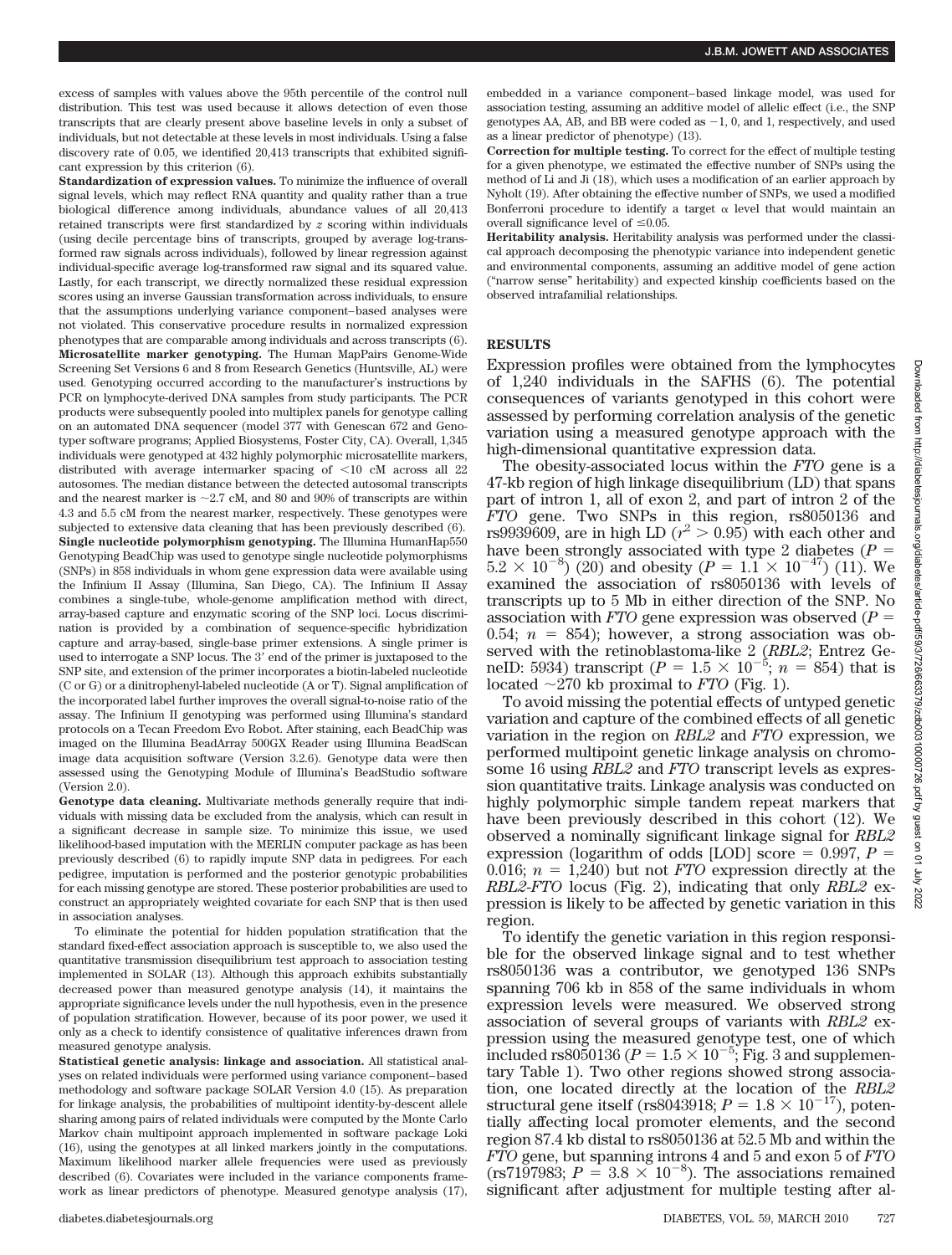excess of samples with values above the 95th percentile of the control null distribution. This test was used because it allows detection of even those transcripts that are clearly present above baseline levels in only a subset of individuals, but not detectable at these levels in most individuals. Using a false discovery rate of 0.05, we identified 20,413 transcripts that exhibited significant expression by this criterion (6).

**Standardization of expression values.** To minimize the influence of overall signal levels, which may reflect RNA quantity and quality rather than a true biological difference among individuals, abundance values of all 20,413 retained transcripts were first standardized by *z* scoring within individuals (using decile percentage bins of transcripts, grouped by average log-transformed raw signals across individuals), followed by linear regression against individual-specific average log-transformed raw signal and its squared value. Lastly, for each transcript, we directly normalized these residual expression scores using an inverse Gaussian transformation across individuals, to ensure that the assumptions underlying variance component–based analyses were not violated. This conservative procedure results in normalized expression phenotypes that are comparable among individuals and across transcripts (6). **Microsatellite marker genotyping.** The Human MapPairs Genome-Wide Screening Set Versions 6 and 8 from Research Genetics (Huntsville, AL) were used. Genotyping occurred according to the manufacturer's instructions by PCR on lymphocyte-derived DNA samples from study participants. The PCR products were subsequently pooled into multiplex panels for genotype calling on an automated DNA sequencer (model 377 with Genescan 672 and Genotyper software programs; Applied Biosystems, Foster City, CA). Overall, 1,345 individuals were genotyped at 432 highly polymorphic microsatellite markers, distributed with average intermarker spacing of  $\leq 10$  cM across all 22 autosomes. The median distance between the detected autosomal transcripts and the nearest marker is  $\sim$  2.7 cM, and 80 and 90% of transcripts are within 4.3 and 5.5 cM from the nearest marker, respectively. These genotypes were subjected to extensive data cleaning that has been previously described (6). **Single nucleotide polymorphism genotyping.** The Illumina HumanHap550 Genotyping BeadChip was used to genotype single nucleotide polymorphisms (SNPs) in 858 individuals in whom gene expression data were available using the Infinium II Assay (Illumina, San Diego, CA). The Infinium II Assay combines a single-tube, whole-genome amplification method with direct, array-based capture and enzymatic scoring of the SNP loci. Locus discrimination is provided by a combination of sequence-specific hybridization capture and array-based, single-base primer extensions. A single primer is used to interrogate a SNP locus. The 3' end of the primer is juxtaposed to the SNP site, and extension of the primer incorporates a biotin-labeled nucleotide (C or G) or a dinitrophenyl-labeled nucleotide (A or T). Signal amplification of the incorporated label further improves the overall signal-to-noise ratio of the assay. The Infinium II genotyping was performed using Illumina's standard protocols on a Tecan Freedom Evo Robot. After staining, each BeadChip was imaged on the Illumina BeadArray 500GX Reader using Illumina BeadScan image data acquisition software (Version 3.2.6). Genotype data were then assessed using the Genotyping Module of Illumina's BeadStudio software (Version 2.0).

**Genotype data cleaning.** Multivariate methods generally require that individuals with missing data be excluded from the analysis, which can result in a significant decrease in sample size. To minimize this issue, we used likelihood-based imputation with the MERLIN computer package as has been previously described (6) to rapidly impute SNP data in pedigrees. For each pedigree, imputation is performed and the posterior genotypic probabilities for each missing genotype are stored. These posterior probabilities are used to construct an appropriately weighted covariate for each SNP that is then used in association analyses.

To eliminate the potential for hidden population stratification that the standard fixed-effect association approach is susceptible to, we also used the quantitative transmission disequilibrium test approach to association testing implemented in SOLAR (13). Although this approach exhibits substantially decreased power than measured genotype analysis (14), it maintains the appropriate significance levels under the null hypothesis, even in the presence of population stratification. However, because of its poor power, we used it only as a check to identify consistence of qualitative inferences drawn from measured genotype analysis.

**Statistical genetic analysis: linkage and association.** All statistical analyses on related individuals were performed using variance component–based methodology and software package SOLAR Version 4.0 (15). As preparation for linkage analysis, the probabilities of multipoint identity-by-descent allele sharing among pairs of related individuals were computed by the Monte Carlo Markov chain multipoint approach implemented in software package Loki (16), using the genotypes at all linked markers jointly in the computations. Maximum likelihood marker allele frequencies were used as previously described (6). Covariates were included in the variance components framework as linear predictors of phenotype. Measured genotype analysis (17), embedded in a variance component–based linkage model, was used for association testing, assuming an additive model of allelic effect (i.e., the SNP genotypes AA, AB, and BB were coded as  $-1$ , 0, and 1, respectively, and used as a linear predictor of phenotype) (13).

**Correction for multiple testing.** To correct for the effect of multiple testing for a given phenotype, we estimated the effective number of SNPs using the method of Li and Ji (18), which uses a modification of an earlier approach by Nyholt (19). After obtaining the effective number of SNPs, we used a modified Bonferroni procedure to identify a target  $\alpha$  level that would maintain an overall significance level of  $\leq 0.05$ .

**Heritability analysis.** Heritability analysis was performed under the classical approach decomposing the phenotypic variance into independent genetic and environmental components, assuming an additive model of gene action ("narrow sense" heritability) and expected kinship coefficients based on the observed intrafamilial relationships.

# **RESULTS**

Expression profiles were obtained from the lymphocytes of 1,240 individuals in the SAFHS (6). The potential consequences of variants genotyped in this cohort were assessed by performing correlation analysis of the genetic variation using a measured genotype approach with the high-dimensional quantitative expression data.

The obesity-associated locus within the *FTO* gene is a 47-kb region of high linkage disequilibrium (LD) that spans part of intron 1, all of exon 2, and part of intron 2 of the *FTO* gene. Two SNPs in this region, rs8050136 and rs9939609, are in high LD  $(r^2 > 0.95)$  with each other and have been strongly associated with type 2 diabetes  $(P =$  $5.2 \times 10^{-8}$ ) (20) and obesity ( $P = 1.1 \times 10^{-47}$ ) (11). We examined the association of rs8050136 with levels of transcripts up to 5 Mb in either direction of the SNP. No association with *FTO* gene expression was observed (*P* 0.54;  $n = 854$ ; however, a strong association was observed with the retinoblastoma-like 2 (*RBL2*; Entrez GeneID: 5934) transcript ( $P = 1.5 \times 10^{-5}$ ;  $n = 854$ ) that is located  $\sim$ 270 kb proximal to *FTO* (Fig. 1).

To avoid missing the potential effects of untyped genetic variation and capture of the combined effects of all genetic variation in the region on *RBL2* and *FTO* expression, we performed multipoint genetic linkage analysis on chromosome 16 using *RBL2* and *FTO* transcript levels as expression quantitative traits. Linkage analysis was conducted on highly polymorphic simple tandem repeat markers that have been previously described in this cohort (12). We observed a nominally significant linkage signal for *RBL2* expression (logarithm of odds [LOD] score  $= 0.997, P =$ 0.016;  $n = 1,240$ ) but not *FTO* expression directly at the *RBL2*-*FTO* locus (Fig. 2), indicating that only *RBL2* expression is likely to be affected by genetic variation in this region.

To identify the genetic variation in this region responsible for the observed linkage signal and to test whether rs8050136 was a contributor, we genotyped 136 SNPs spanning 706 kb in 858 of the same individuals in whom expression levels were measured. We observed strong association of several groups of variants with *RBL2* expression using the measured genotype test, one of which included rs8050136 ( $P = 1.5 \times 10^{-5}$ ; Fig. 3 and supplementary Table 1). Two other regions showed strong association, one located directly at the location of the *RBL2* structural gene itself (rs8043918;  $P = 1.8 \times 10^{-17}$ ), potentially affecting local promoter elements, and the second region 87.4 kb distal to rs8050136 at 52.5 Mb and within the *FTO* gene, but spanning introns 4 and 5 and exon 5 of *FTO* (rs7197983;  $P = 3.8 \times 10^{-8}$ ). The associations remained significant after adjustment for multiple testing after al-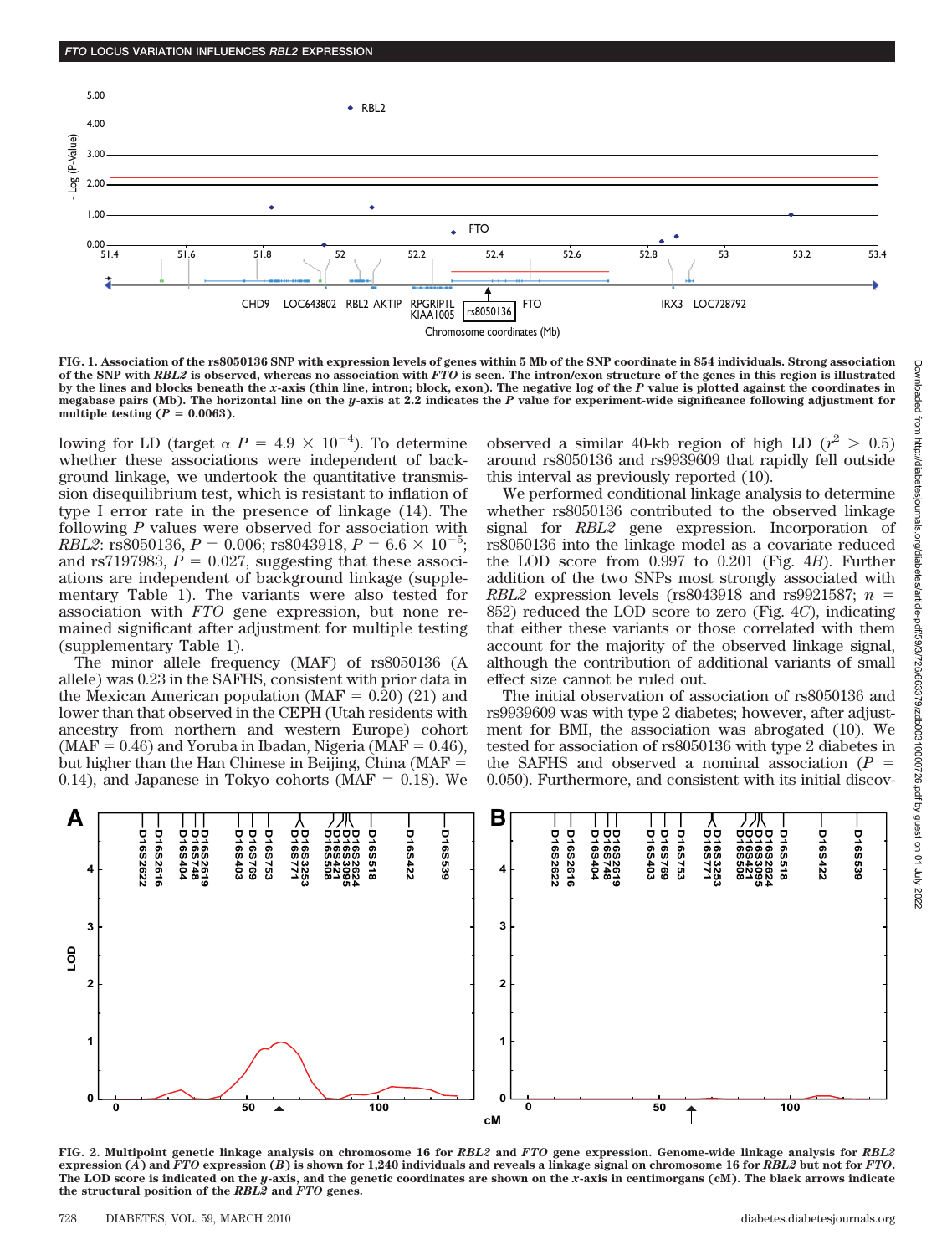

**FIG. 1. Association of the rs8050136 SNP with expression levels of genes within 5 Mb of the SNP coordinate in 854 individuals. Strong association of the SNP with** *RBL2* **is observed, whereas no association with** *FTO* **is seen. The intron/exon structure of the genes in this region is illustrated by the lines and blocks beneath the** *x***-axis (thin line, intron; block, exon). The negative log of the** *P* **value is plotted against the coordinates in megabase pairs (Mb). The horizontal line on the** *y***-axis at 2.2 indicates the** *P* **value for experiment-wide significance following adjustment for** multiple testing  $(P = 0.0063)$ .

lowing for LD (target  $\alpha$  *P* = 4.9  $\times$  10<sup>-4</sup>). To determine whether these associations were independent of background linkage, we undertook the quantitative transmission disequilibrium test, which is resistant to inflation of type I error rate in the presence of linkage (14). The following *P* values were observed for association with *RBL2*: rs8050136,  $P = 0.006$ ; rs8043918,  $P = 6.6 \times 10^{-5}$ ; and rs7197983,  $P = 0.027$ , suggesting that these associ-ations are independent of background linkage (supplementary Table 1). The variants were also tested for association with *FTO* gene expression, but none remained significant after adjustment for multiple testing (supplementary Table 1).

The minor allele frequency (MAF) of rs8050136 (A allele) was 0.23 in the SAFHS, consistent with prior data in the Mexican American population (MAF  $= 0.20$ ) (21) and lower than that observed in the CEPH (Utah residents with ancestry from northern and western Europe) cohort (MAF =  $0.46$ ) and Yoruba in Ibadan, Nigeria (MAF =  $0.46$ ), but higher than the Han Chinese in Beijing, China (MAF 0.14), and Japanese in Tokyo cohorts ( $\text{MAF} = 0.18$ ). We

observed a similar 40-kb region of high LD  $(r^2 > 0.5)$ around rs8050136 and rs9939609 that rapidly fell outside this interval as previously reported (10).

We performed conditional linkage analysis to determine whether rs8050136 contributed to the observed linkage signal for *RBL2* gene expression. Incorporation of rs8050136 into the linkage model as a covariate reduced the LOD score from 0.997 to 0.201 (Fig. 4*B*). Further addition of the two SNPs most strongly associated with *RBL2* expression levels (rs8043918 and rs9921587;  $n =$ 852) reduced the LOD score to zero (Fig. 4*C*), indicating that either these variants or those correlated with them account for the majority of the observed linkage signal, although the contribution of additional variants of small effect size cannot be ruled out.

The initial observation of association of rs8050136 and rs9939609 was with type 2 diabetes; however, after adjustment for BMI, the association was abrogated (10). We tested for association of rs8050136 with type 2 diabetes in the SAFHS and observed a nominal association  $(P =$ 0.050). Furthermore, and consistent with its initial discov-



**FIG. 2. Multipoint genetic linkage analysis on chromosome 16 for** *RBL2* **and** *FTO* **gene expression. Genome-wide linkage analysis for** *RBL2* **expression (***A***) and** *FTO* **expression (***B***) is shown for 1,240 individuals and reveals a linkage signal on chromosome 16 for** *RBL2* **but not for** *FTO***. The LOD score is indicated on the** *y***-axis, and the genetic coordinates are shown on the** *x***-axis in centimorgans (cM). The black arrows indicate the structural position of the** *RBL2* **and** *FTO* **genes.**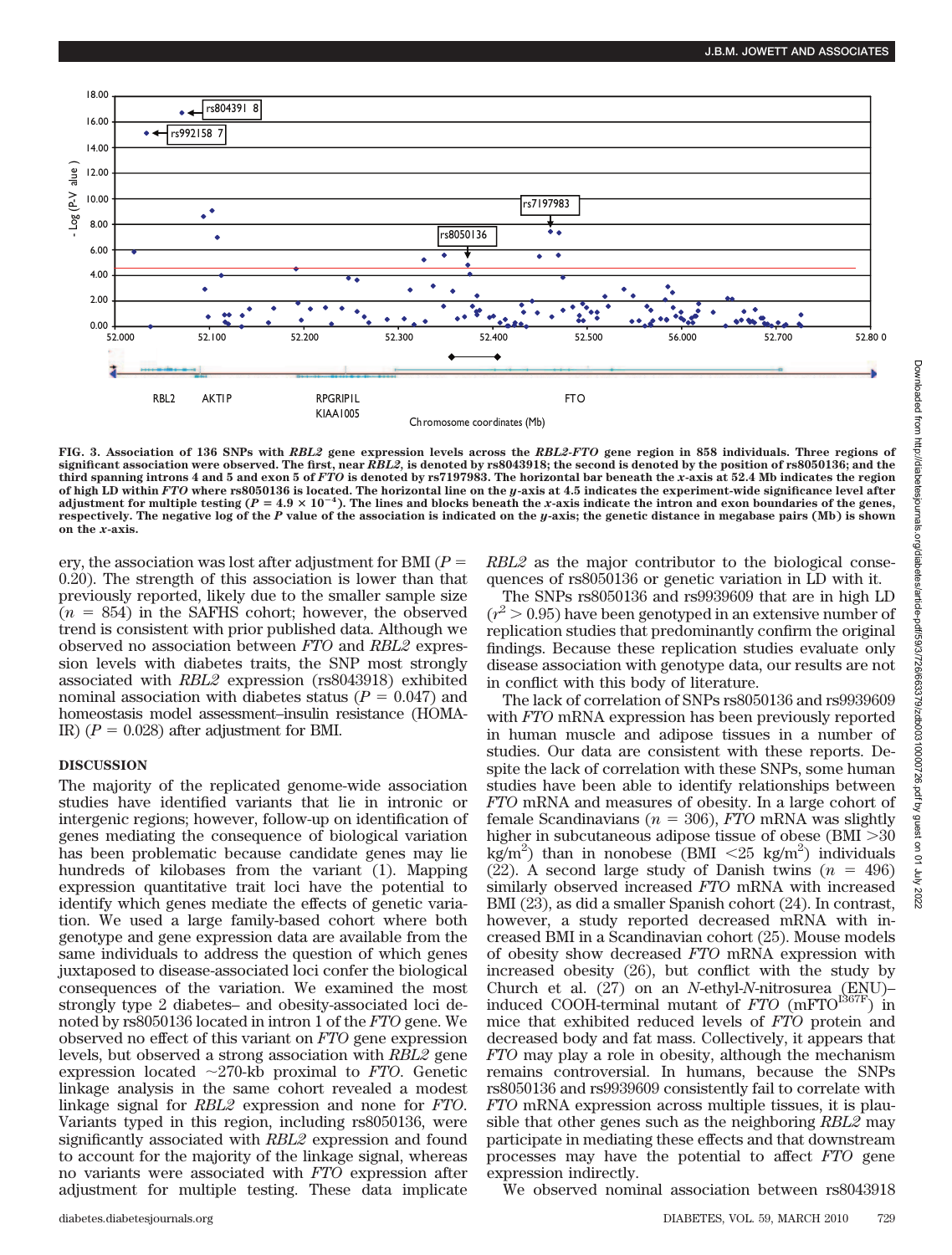

**FIG. 3. Association of 136 SNPs with** *RBL2* **gene expression levels across the** *RBL2-FTO* **gene region in 858 individuals. Three regions of significant association were observed. The first, near** *RBL2,* **is denoted by rs8043918; the second is denoted by the position of rs8050136; and the third spanning introns 4 and 5 and exon 5 of** *FTO* **is denoted by rs7197983. The horizontal bar beneath the** *x***-axis at 52.4 Mb indicates the region of high LD within** *FTO* **where rs8050136 is located. The horizontal line on the** *y***-axis at 4.5 indicates the experiment-wide significance level after** adjustment for multiple testing ( $P = 4.9 \times 10^{-4}$ ). The lines and blocks beneath the *x*-axis indicate the intron and exon boundaries of the genes, **respectively. The negative log of the** *P* **value of the association is indicated on the** *y***-axis; the genetic distance in megabase pairs (Mb) is shown on the** *x***-axis.**

ery, the association was lost after adjustment for BMI (*P* 0.20). The strength of this association is lower than that previously reported, likely due to the smaller sample size  $(n = 854)$  in the SAFHS cohort; however, the observed trend is consistent with prior published data. Although we observed no association between *FTO* and *RBL2* expression levels with diabetes traits, the SNP most strongly associated with *RBL2* expression (rs8043918) exhibited nominal association with diabetes status  $(P = 0.047)$  and homeostasis model assessment–insulin resistance (HOMA-IR)  $(P = 0.028)$  after adjustment for BMI.

# **DISCUSSION**

The majority of the replicated genome-wide association studies have identified variants that lie in intronic or intergenic regions; however, follow-up on identification of genes mediating the consequence of biological variation has been problematic because candidate genes may lie hundreds of kilobases from the variant (1). Mapping expression quantitative trait loci have the potential to identify which genes mediate the effects of genetic variation. We used a large family-based cohort where both genotype and gene expression data are available from the same individuals to address the question of which genes juxtaposed to disease-associated loci confer the biological consequences of the variation. We examined the most strongly type 2 diabetes– and obesity-associated loci denoted by rs8050136 located in intron 1 of the *FTO* gene. We observed no effect of this variant on *FTO* gene expression levels, but observed a strong association with *RBL2* gene expression located  $\sim$ 270-kb proximal to *FTO*. Genetic linkage analysis in the same cohort revealed a modest linkage signal for *RBL2* expression and none for *FTO*. Variants typed in this region, including rs8050136, were significantly associated with *RBL2* expression and found to account for the majority of the linkage signal, whereas no variants were associated with *FTO* expression after adjustment for multiple testing. These data implicate *RBL2* as the major contributor to the biological consequences of rs8050136 or genetic variation in LD with it.

The SNPs rs8050136 and rs9939609 that are in high LD  $(r^2 > 0.95)$  have been genotyped in an extensive number of replication studies that predominantly confirm the original findings. Because these replication studies evaluate only disease association with genotype data, our results are not in conflict with this body of literature.

The lack of correlation of SNPs rs8050136 and rs9939609 with *FTO* mRNA expression has been previously reported in human muscle and adipose tissues in a number of studies. Our data are consistent with these reports. Despite the lack of correlation with these SNPs, some human studies have been able to identify relationships between *FTO* mRNA and measures of obesity. In a large cohort of female Scandinavians ( $n = 306$ ), *FTO* mRNA was slightly higher in subcutaneous adipose tissue of obese  $(BMI > 30$  $kg/m^2$ ) than in nonobese (BMI <25 kg/m<sup>2</sup>) individuals (22). A second large study of Danish twins  $(n = 496)$ similarly observed increased *FTO* mRNA with increased BMI (23), as did a smaller Spanish cohort (24). In contrast, however, a study reported decreased mRNA with increased BMI in a Scandinavian cohort (25). Mouse models of obesity show decreased *FTO* mRNA expression with increased obesity (26), but conflict with the study by Church et al. (27) on an *N*-ethyl-*N*-nitrosurea (ENU)– induced COOH-terminal mutant of *FTO* (mFTO<sup>1367F</sup>) in mice that exhibited reduced levels of *FTO* protein and decreased body and fat mass. Collectively, it appears that *FTO* may play a role in obesity, although the mechanism remains controversial. In humans, because the SNPs rs8050136 and rs9939609 consistently fail to correlate with *FTO* mRNA expression across multiple tissues, it is plausible that other genes such as the neighboring *RBL2* may participate in mediating these effects and that downstream processes may have the potential to affect *FTO* gene expression indirectly.

We observed nominal association between rs8043918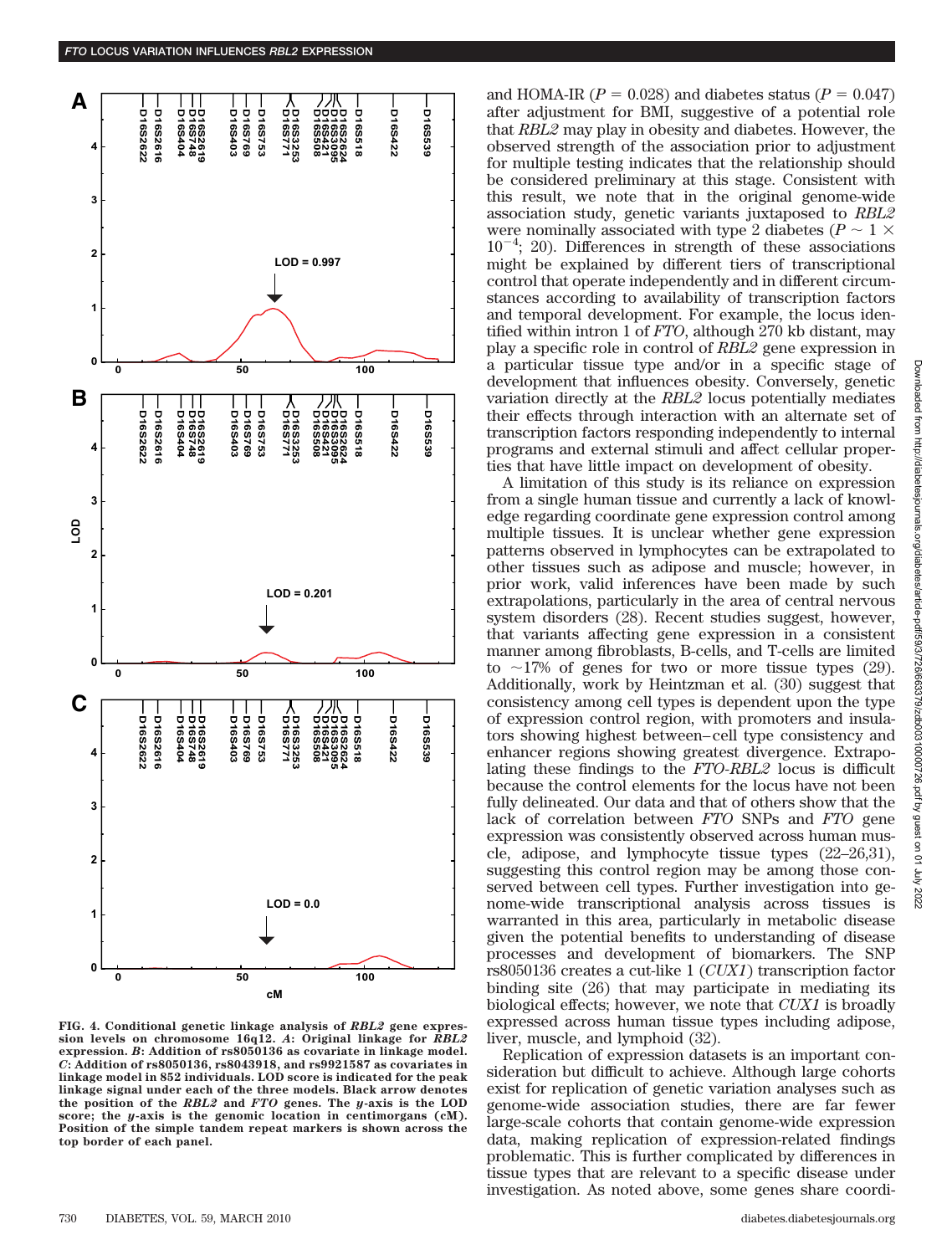

**FIG. 4. Conditional genetic linkage analysis of** *RBL2* **gene expression levels on chromosome 16q12.** *A***: Original linkage for** *RBL2* **expression.** *B***: Addition of rs8050136 as covariate in linkage model.** *C***: Addition of rs8050136, rs8043918, and rs9921587 as covariates in linkage model in 852 individuals. LOD score is indicated for the peak linkage signal under each of the three models. Black arrow denotes the position of the** *RBL2* **and** *FTO* **genes. The** *y***-axis is the LOD score; the** *y***-axis is the genomic location in centimorgans (cM). Position of the simple tandem repeat markers is shown across the top border of each panel.**

and HOMA-IR  $(P = 0.028)$  and diabetes status  $(P = 0.047)$ after adjustment for BMI, suggestive of a potential role that *RBL2* may play in obesity and diabetes. However, the observed strength of the association prior to adjustment for multiple testing indicates that the relationship should be considered preliminary at this stage. Consistent with this result, we note that in the original genome-wide association study, genetic variants juxtaposed to *RBL2* were nominally associated with type 2 diabetes ( $P \sim 1 \times$  $10^{-4}$ ; 20). Differences in strength of these associations might be explained by different tiers of transcriptional control that operate independently and in different circumstances according to availability of transcription factors and temporal development. For example, the locus identified within intron 1 of *FTO*, although 270 kb distant, may play a specific role in control of *RBL2* gene expression in a particular tissue type and/or in a specific stage of development that influences obesity. Conversely, genetic variation directly at the *RBL2* locus potentially mediates their effects through interaction with an alternate set of transcription factors responding independently to internal programs and external stimuli and affect cellular properties that have little impact on development of obesity.

A limitation of this study is its reliance on expression from a single human tissue and currently a lack of knowledge regarding coordinate gene expression control among multiple tissues. It is unclear whether gene expression patterns observed in lymphocytes can be extrapolated to other tissues such as adipose and muscle; however, in prior work, valid inferences have been made by such extrapolations, particularly in the area of central nervous system disorders (28). Recent studies suggest, however, that variants affecting gene expression in a consistent manner among fibroblasts, B-cells, and T-cells are limited to  $\sim$ 17% of genes for two or more tissue types (29). Additionally, work by Heintzman et al. (30) suggest that consistency among cell types is dependent upon the type of expression control region, with promoters and insulators showing highest between–cell type consistency and enhancer regions showing greatest divergence. Extrapolating these findings to the *FTO-RBL2* locus is difficult because the control elements for the locus have not been fully delineated. Our data and that of others show that the lack of correlation between *FTO* SNPs and *FTO* gene expression was consistently observed across human muscle, adipose, and lymphocyte tissue types (22–26,31), suggesting this control region may be among those conserved between cell types. Further investigation into genome-wide transcriptional analysis across tissues is warranted in this area, particularly in metabolic disease given the potential benefits to understanding of disease processes and development of biomarkers. The SNP rs8050136 creates a cut-like 1 (*CUX1*) transcription factor binding site (26) that may participate in mediating its biological effects; however, we note that *CUX1* is broadly expressed across human tissue types including adipose, liver, muscle, and lymphoid (32).

Replication of expression datasets is an important consideration but difficult to achieve. Although large cohorts exist for replication of genetic variation analyses such as genome-wide association studies, there are far fewer large-scale cohorts that contain genome-wide expression data, making replication of expression-related findings problematic. This is further complicated by differences in tissue types that are relevant to a specific disease under investigation. As noted above, some genes share coordi-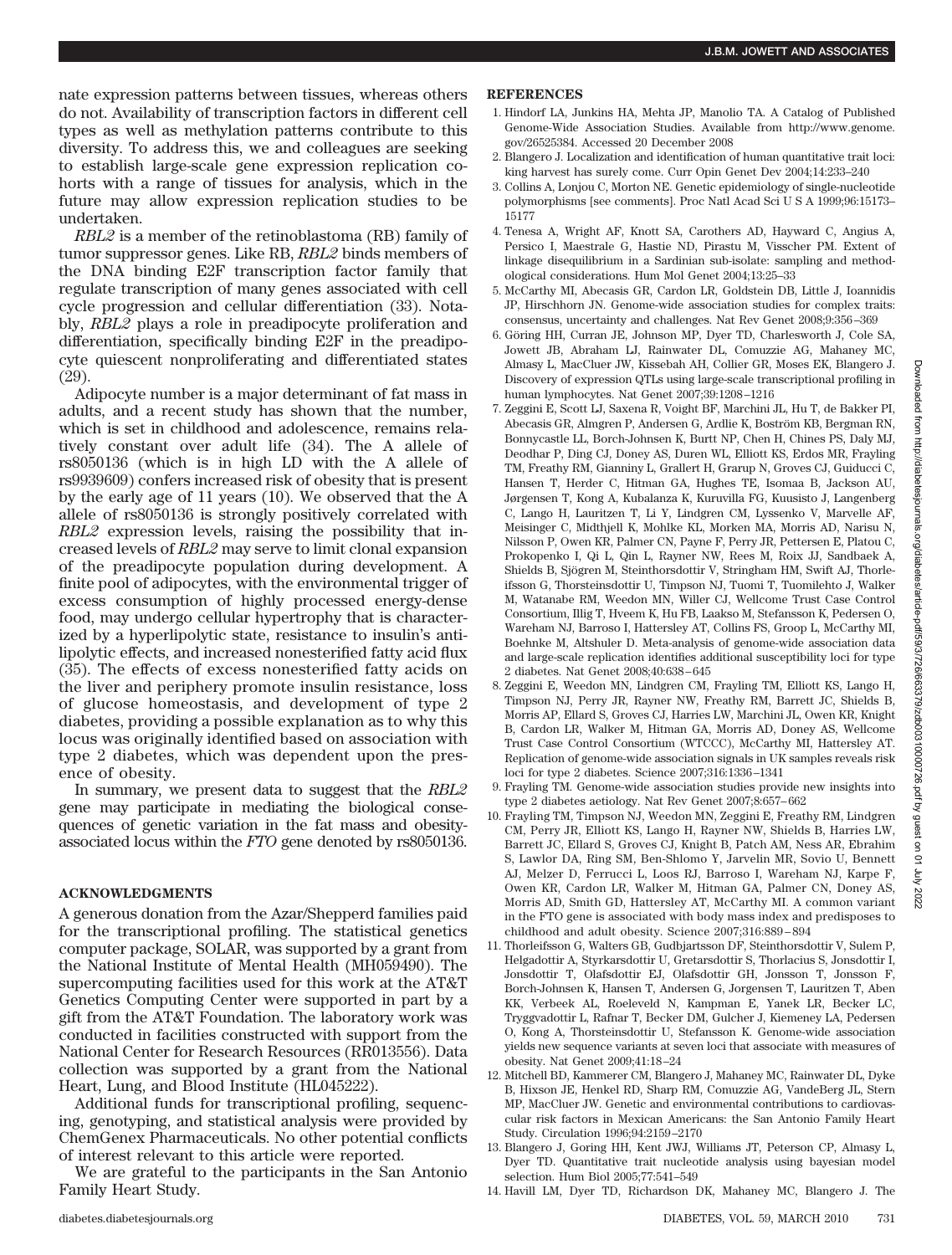nate expression patterns between tissues, whereas others do not. Availability of transcription factors in different cell types as well as methylation patterns contribute to this diversity. To address this, we and colleagues are seeking to establish large-scale gene expression replication cohorts with a range of tissues for analysis, which in the future may allow expression replication studies to be undertaken.

*RBL2* is a member of the retinoblastoma (RB) family of tumor suppressor genes. Like RB, *RBL2* binds members of the DNA binding E2F transcription factor family that regulate transcription of many genes associated with cell cycle progression and cellular differentiation (33). Notably, *RBL2* plays a role in preadipocyte proliferation and differentiation, specifically binding E2F in the preadipocyte quiescent nonproliferating and differentiated states (29).

Adipocyte number is a major determinant of fat mass in adults, and a recent study has shown that the number, which is set in childhood and adolescence, remains relatively constant over adult life (34). The A allele of rs8050136 (which is in high LD with the A allele of rs9939609) confers increased risk of obesity that is present by the early age of 11 years (10). We observed that the A allele of rs8050136 is strongly positively correlated with *RBL2* expression levels, raising the possibility that increased levels of *RBL2* may serve to limit clonal expansion of the preadipocyte population during development. A finite pool of adipocytes, with the environmental trigger of excess consumption of highly processed energy-dense food, may undergo cellular hypertrophy that is characterized by a hyperlipolytic state, resistance to insulin's antilipolytic effects, and increased nonesterified fatty acid flux (35). The effects of excess nonesterified fatty acids on the liver and periphery promote insulin resistance, loss of glucose homeostasis, and development of type 2 diabetes, providing a possible explanation as to why this locus was originally identified based on association with type 2 diabetes, which was dependent upon the presence of obesity.

In summary, we present data to suggest that the *RBL2* gene may participate in mediating the biological consequences of genetic variation in the fat mass and obesityassociated locus within the *FTO* gene denoted by rs8050136.

# **ACKNOWLEDGMENTS**

A generous donation from the Azar/Shepperd families paid for the transcriptional profiling. The statistical genetics computer package, SOLAR, was supported by a grant from the National Institute of Mental Health (MH059490). The supercomputing facilities used for this work at the AT&T Genetics Computing Center were supported in part by a gift from the AT&T Foundation. The laboratory work was conducted in facilities constructed with support from the National Center for Research Resources (RR013556). Data collection was supported by a grant from the National Heart, Lung, and Blood Institute (HL045222).

Additional funds for transcriptional profiling, sequencing, genotyping, and statistical analysis were provided by ChemGenex Pharmaceuticals. No other potential conflicts of interest relevant to this article were reported.

We are grateful to the participants in the San Antonio Family Heart Study.

#### **REFERENCES**

- 1. Hindorf LA, Junkins HA, Mehta JP, Manolio TA. A Catalog of Published Genome-Wide Association Studies. Available from http://www.genome. gov/26525384. Accessed 20 December 2008
- 2. Blangero J. Localization and identification of human quantitative trait loci: king harvest has surely come. Curr Opin Genet Dev 2004;14:233–240
- 3. Collins A, Lonjou C, Morton NE. Genetic epidemiology of single-nucleotide polymorphisms [see comments]. Proc Natl Acad SciUSA 1999;96:15173– 15177
- 4. Tenesa A, Wright AF, Knott SA, Carothers AD, Hayward C, Angius A, Persico I, Maestrale G, Hastie ND, Pirastu M, Visscher PM. Extent of linkage disequilibrium in a Sardinian sub-isolate: sampling and methodological considerations. Hum Mol Genet 2004;13:25–33
- 5. McCarthy MI, Abecasis GR, Cardon LR, Goldstein DB, Little J, Ioannidis JP, Hirschhorn JN. Genome-wide association studies for complex traits: consensus, uncertainty and challenges. Nat Rev Genet 2008;9:356–369
- 6. Göring HH, Curran JE, Johnson MP, Dyer TD, Charlesworth J, Cole SA, Jowett JB, Abraham LJ, Rainwater DL, Comuzzie AG, Mahaney MC, Almasy L, MacCluer JW, Kissebah AH, Collier GR, Moses EK, Blangero J. Discovery of expression QTLs using large-scale transcriptional profiling in human lymphocytes. Nat Genet 2007;39:1208–1216
- 7. Zeggini E, Scott LJ, Saxena R, Voight BF, Marchini JL, Hu T, de Bakker PI, Abecasis GR, Almgren P, Andersen G, Ardlie K, Boström KB, Bergman RN, Bonnycastle LL, Borch-Johnsen K, Burtt NP, Chen H, Chines PS, Daly MJ, Deodhar P, Ding CJ, Doney AS, Duren WL, Elliott KS, Erdos MR, Frayling TM, Freathy RM, Gianniny L, Grallert H, Grarup N, Groves CJ, Guiducci C, Hansen T, Herder C, Hitman GA, Hughes TE, Isomaa B, Jackson AU, Jørgensen T, Kong A, Kubalanza K, Kuruvilla FG, Kuusisto J, Langenberg C, Lango H, Lauritzen T, Li Y, Lindgren CM, Lyssenko V, Marvelle AF, Meisinger C, Midthjell K, Mohlke KL, Morken MA, Morris AD, Narisu N, Nilsson P, Owen KR, Palmer CN, Payne F, Perry JR, Pettersen E, Platou C, Prokopenko I, Qi L, Qin L, Rayner NW, Rees M, Roix JJ, Sandbaek A, Shields B, Sjögren M, Steinthorsdottir V, Stringham HM, Swift AJ, Thorleifsson G, Thorsteinsdottir U, Timpson NJ, Tuomi T, Tuomilehto J, Walker M, Watanabe RM, Weedon MN, Willer CJ, Wellcome Trust Case Control Consortium, Illig T, Hveem K, Hu FB, Laakso M, Stefansson K, Pedersen O, Wareham NJ, Barroso I, Hattersley AT, Collins FS, Groop L, McCarthy MI, Boehnke M, Altshuler D. Meta-analysis of genome-wide association data and large-scale replication identifies additional susceptibility loci for type 2 diabetes. Nat Genet 2008;40:638–645
- 8. Zeggini E, Weedon MN, Lindgren CM, Frayling TM, Elliott KS, Lango H, Timpson NJ, Perry JR, Rayner NW, Freathy RM, Barrett JC, Shields B, Morris AP, Ellard S, Groves CJ, Harries LW, Marchini JL, Owen KR, Knight B, Cardon LR, Walker M, Hitman GA, Morris AD, Doney AS, Wellcome Trust Case Control Consortium (WTCCC), McCarthy MI, Hattersley AT. Replication of genome-wide association signals in UK samples reveals risk loci for type 2 diabetes. Science 2007;316:1336–1341
- 9. Frayling TM. Genome-wide association studies provide new insights into type 2 diabetes aetiology. Nat Rev Genet 2007;8:657–662
- 10. Frayling TM, Timpson NJ, Weedon MN, Zeggini E, Freathy RM, Lindgren CM, Perry JR, Elliott KS, Lango H, Rayner NW, Shields B, Harries LW, Barrett JC, Ellard S, Groves CJ, Knight B, Patch AM, Ness AR, Ebrahim S, Lawlor DA, Ring SM, Ben-Shlomo Y, Jarvelin MR, Sovio U, Bennett AJ, Melzer D, Ferrucci L, Loos RJ, Barroso I, Wareham NJ, Karpe F, Owen KR, Cardon LR, Walker M, Hitman GA, Palmer CN, Doney AS, Morris AD, Smith GD, Hattersley AT, McCarthy MI. A common variant in the FTO gene is associated with body mass index and predisposes to childhood and adult obesity. Science 2007;316:889–894
- 11. Thorleifsson G, Walters GB, Gudbjartsson DF, Steinthorsdottir V, Sulem P, Helgadottir A, Styrkarsdottir U, Gretarsdottir S, Thorlacius S, Jonsdottir I, Jonsdottir T, Olafsdottir EJ, Olafsdottir GH, Jonsson T, Jonsson F, Borch-Johnsen K, Hansen T, Andersen G, Jorgensen T, Lauritzen T, Aben KK, Verbeek AL, Roeleveld N, Kampman E, Yanek LR, Becker LC, Tryggvadottir L, Rafnar T, Becker DM, Gulcher J, Kiemeney LA, Pedersen O, Kong A, Thorsteinsdottir U, Stefansson K. Genome-wide association yields new sequence variants at seven loci that associate with measures of obesity. Nat Genet 2009;41:18–24
- 12. Mitchell BD, Kammerer CM, Blangero J, Mahaney MC, Rainwater DL, Dyke B, Hixson JE, Henkel RD, Sharp RM, Comuzzie AG, VandeBerg JL, Stern MP, MacCluer JW. Genetic and environmental contributions to cardiovascular risk factors in Mexican Americans: the San Antonio Family Heart Study. Circulation 1996;94:2159–2170
- 13. Blangero J, Goring HH, Kent JWJ, Williams JT, Peterson CP, Almasy L, Dyer TD. Quantitative trait nucleotide analysis using bayesian model selection. Hum Biol 2005;77:541–549
- 14. Havill LM, Dyer TD, Richardson DK, Mahaney MC, Blangero J. The